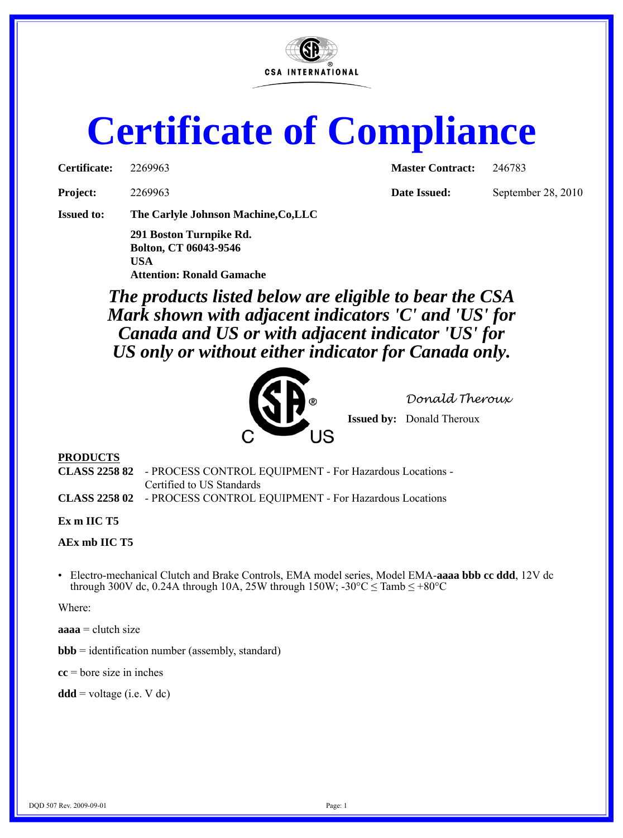

# **Certificate of Compliance**

| Certificate: | 2269963 |
|--------------|---------|
|              |         |

**Certificate:** 2269963 **Master Contract:** 246783

**Project:** 2269963 **Date Issued:** September 28, 2010

**Issued to: The Carlyle Johnson Machine,Co,LLC**

**291 Boston Turnpike Rd. Bolton, CT 06043-9546 USA Attention: Ronald Gamache**

*The products listed below are eligible to bear the CSA Mark shown with adjacent indicators 'C' and 'US' for Canada and US or with adjacent indicator 'US' for US only or without either indicator for Canada only.*



*Donald Theroux*

**Issued by:** Donald Theroux

## **PRODUCTS**

**CLASS 2258 82** - PROCESS CONTROL EQUIPMENT - For Hazardous Locations - Certified to US Standards

**CLASS 2258 02** - PROCESS CONTROL EQUIPMENT - For Hazardous Locations

### **Ex m IIC T5**

**AEx mb IIC T5**

• Electro-mechanical Clutch and Brake Controls, EMA model series, Model EMA-**aaaa bbb cc ddd**, 12V dc through 300V dc, 0.24A through 10A, 25W through 150W;  $-30^{\circ}$ C  $\leq$  Tamb  $\leq +80^{\circ}$ C

Where:

**aaaa** = clutch size

 $$ 

**cc** = bore size in inches

 $\mathbf{ddd} = \text{voltage}$  (i.e. V dc)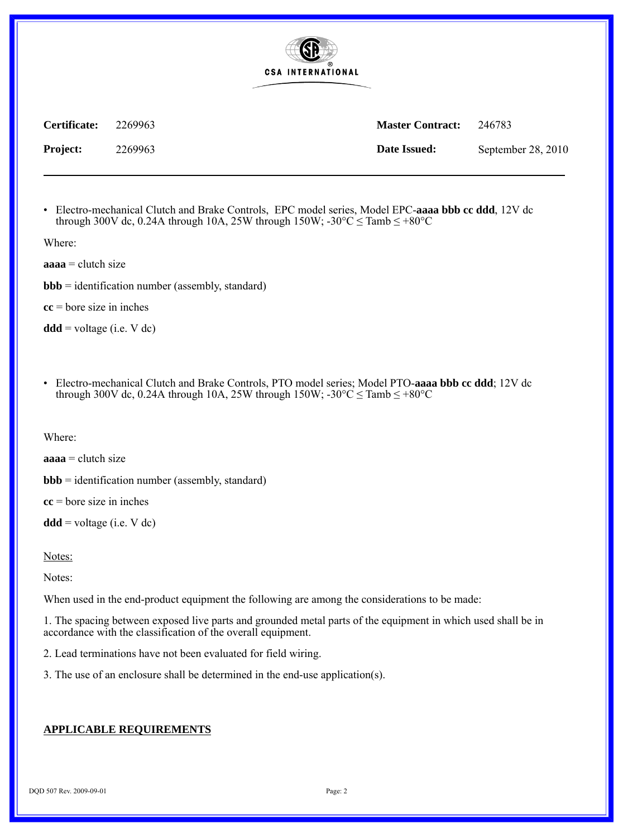

**Project:** 2269963 **Date Issued:** September 28, 2010

**Certificate:** 2269963 **Master Contract:** 246783

• Electro-mechanical Clutch and Brake Controls, EPC model series, Model EPC-**aaaa bbb cc ddd**, 12V dc through 300V dc, 0.24A through 10A, 25W through 150W;  $-30^{\circ}$ C  $\leq$  Tamb  $\leq +80^{\circ}$ C

Where:

**aaaa** = clutch size

 $$ 

**cc** = bore size in inches

 $\mathbf{ddd} = \text{voltage}$  (i.e. V dc)

• Electro-mechanical Clutch and Brake Controls, PTO model series; Model PTO-**aaaa bbb cc ddd**; 12V dc through 300V dc, 0.24A through 10A, 25W through 150W;  $-30^{\circ}$ C  $\leq$  Tamb  $\leq +80^{\circ}$ C

Where:

**aaaa** = clutch size

 $$ 

**cc** = bore size in inches

 $\mathbf{ddd} = \text{voltage}$  (i.e. V dc)

Notes:

Notes:

When used in the end-product equipment the following are among the considerations to be made:

1. The spacing between exposed live parts and grounded metal parts of the equipment in which used shall be in accordance with the classification of the overall equipment.

2. Lead terminations have not been evaluated for field wiring.

3. The use of an enclosure shall be determined in the end-use application(s).

## **APPLICABLE REQUIREMENTS**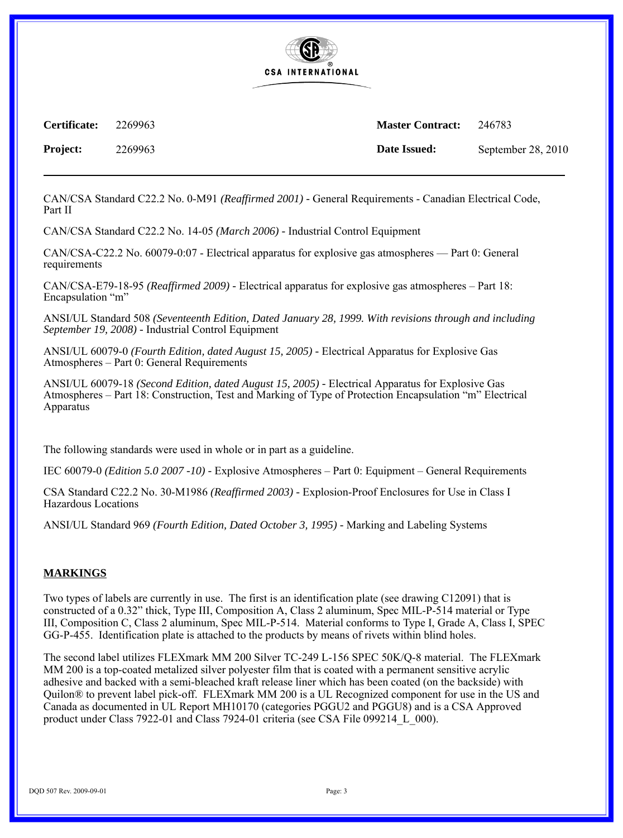

**Certificate:** 2269963 **Master Contract:** 246783

**Project:** 2269963 **Date Issued:** September 28, 2010

CAN/CSA Standard C22.2 No. 0-M91 *(Reaffirmed 2001) -* General Requirements - Canadian Electrical Code, Part II

CAN/CSA Standard C22.2 No. 14-05 *(March 2006) -* Industrial Control Equipment

CAN/CSA-C22.2 No. 60079-0:07 - Electrical apparatus for explosive gas atmospheres — Part 0: General requirements

CAN/CSA-E79-18-95 *(Reaffirmed 2009) -* Electrical apparatus for explosive gas atmospheres – Part 18: Encapsulation "m"

ANSI/UL Standard 508 *(Seventeenth Edition, Dated January 28, 1999. With revisions through and including September 19, 2008) -* Industrial Control Equipment

ANSI/UL 60079-0 *(Fourth Edition, dated August 15, 2005) -* Electrical Apparatus for Explosive Gas Atmospheres – Part 0: General Requirements

ANSI/UL 60079-18 *(Second Edition, dated August 15, 2005) -* Electrical Apparatus for Explosive Gas Atmospheres – Part 18: Construction, Test and Marking of Type of Protection Encapsulation "m" Electrical Apparatus

The following standards were used in whole or in part as a guideline.

IEC 60079-0 *(Edition 5.0 2007 -10) -* Explosive Atmospheres – Part 0: Equipment – General Requirements

CSA Standard C22.2 No. 30-M1986 *(Reaffirmed 2003) -* Explosion-Proof Enclosures for Use in Class I Hazardous Locations

ANSI/UL Standard 969 *(Fourth Edition, Dated October 3, 1995) -* Marking and Labeling Systems

#### **MARKINGS**

Two types of labels are currently in use. The first is an identification plate (see drawing C12091) that is constructed of a 0.32" thick, Type III, Composition A, Class 2 aluminum, Spec MIL-P-514 material or Type III, Composition C, Class 2 aluminum, Spec MIL-P-514. Material conforms to Type I, Grade A, Class I, SPEC GG-P-455. Identification plate is attached to the products by means of rivets within blind holes.

The second label utilizes FLEXmark MM 200 Silver TC-249 L-156 SPEC 50K/Q-8 material. The FLEXmark MM 200 is a top-coated metalized silver polyester film that is coated with a permanent sensitive acrylic adhesive and backed with a semi-bleached kraft release liner which has been coated (on the backside) with Quilon® to prevent label pick-off. FLEXmark MM 200 is a UL Recognized component for use in the US and Canada as documented in UL Report MH10170 (categories PGGU2 and PGGU8) and is a CSA Approved product under Class 7922-01 and Class 7924-01 criteria (see CSA File 099214\_L\_000).